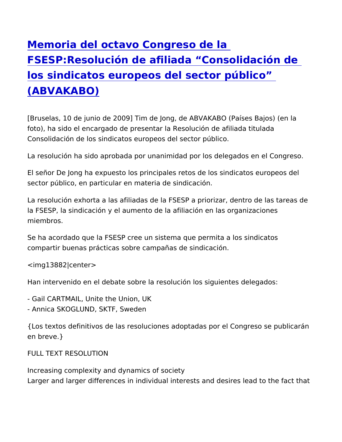[Memoria del octavo Congres](https://www.epsu.org/es/article/memoria-del-octavo-congreso-de-la-fsespresoluci-n-de-afiliada-consolidaci-n-de-los)o de la FSESP: Resolución de afiliada Consolidació [los sindicatos europeos del sector](https://www.epsu.org/es/article/memoria-del-octavo-congreso-de-la-fsespresoluci-n-de-afiliada-consolidaci-n-de-los) público [\(ABVAKAB](https://www.epsu.org/es/article/memoria-del-octavo-congreso-de-la-fsespresoluci-n-de-afiliada-consolidaci-n-de-los)O)

[Bruselas, 10 de junio de 2009] Tim de Jong, de ABVAKABO (País foto), ha sido el encargado de presentar la Resolución de afiliada Consolidación de los sindicatos europeos del sector público.

La resolución ha sido aprobada por unanimidad por los delegados

El señor De Jong ha expuesto los principales retos de los sindica sector público, en particular en materia de sindicación.

La resolución exhorta a las afiliadas de la FSESP a priorizar, der la FSESP, la sindicación y el aumento de la afiliación en las orga miembros.

Se ha acordado que la FSESP cree un sistema que permita a los s compartir buenas prácticas sobre campañas de sindicación.

<img13882|center>

Han intervenido en el debate sobre la resolución los siguientes d

- Gail CARTMAIL, Unite the Union, UK

- Annica SKOGLUND, SKTF, Sweden

{Los textos definitivos de las resoluciones adoptadas por el Cong en breve.}

FULL TEXT RESOLUTION

Increasing complexity and dynamics of society Larger and larger differences in individual interests and desires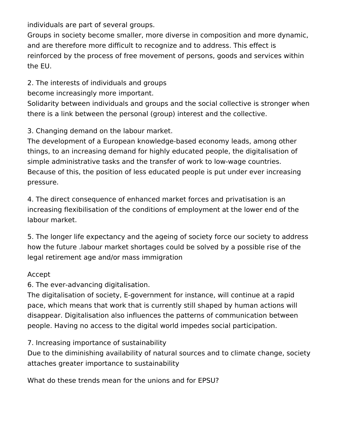individuals are part of several groups.

Groups in society become smaller, more diverse in composition and more dynamic, and are therefore more difficult to recognize and to address. This effect is reinforced by the process of free movement of persons, goods and services within the EU.

2. The interests of individuals and groups

become increasingly more important.

Solidarity between individuals and groups and the social collective is stronger when there is a link between the personal (group) interest and the collective.

3. Changing demand on the labour market.

The development of a European knowledge-based economy leads, among other things, to an increasing demand for highly educated people, the digitalisation of simple administrative tasks and the transfer of work to low-wage countries. Because of this, the position of less educated people is put under ever increasing pressure.

4. The direct consequence of enhanced market forces and privatisation is an increasing flexibilisation of the conditions of employment at the lower end of the labour market.

5. The longer life expectancy and the ageing of society force our society to address how the future .labour market shortages could be solved by a possible rise of the legal retirement age and/or mass immigration

## Accept

6. The ever-advancing digitalisation.

The digitalisation of society, E-government for instance, will continue at a rapid pace, which means that work that is currently still shaped by human actions will disappear. Digitalisation also influences the patterns of communication between people. Having no access to the digital world impedes social participation.

7. Increasing importance of sustainability

Due to the diminishing availability of natural sources and to climate change, society attaches greater importance to sustainability

What do these trends mean for the unions and for EPSU?